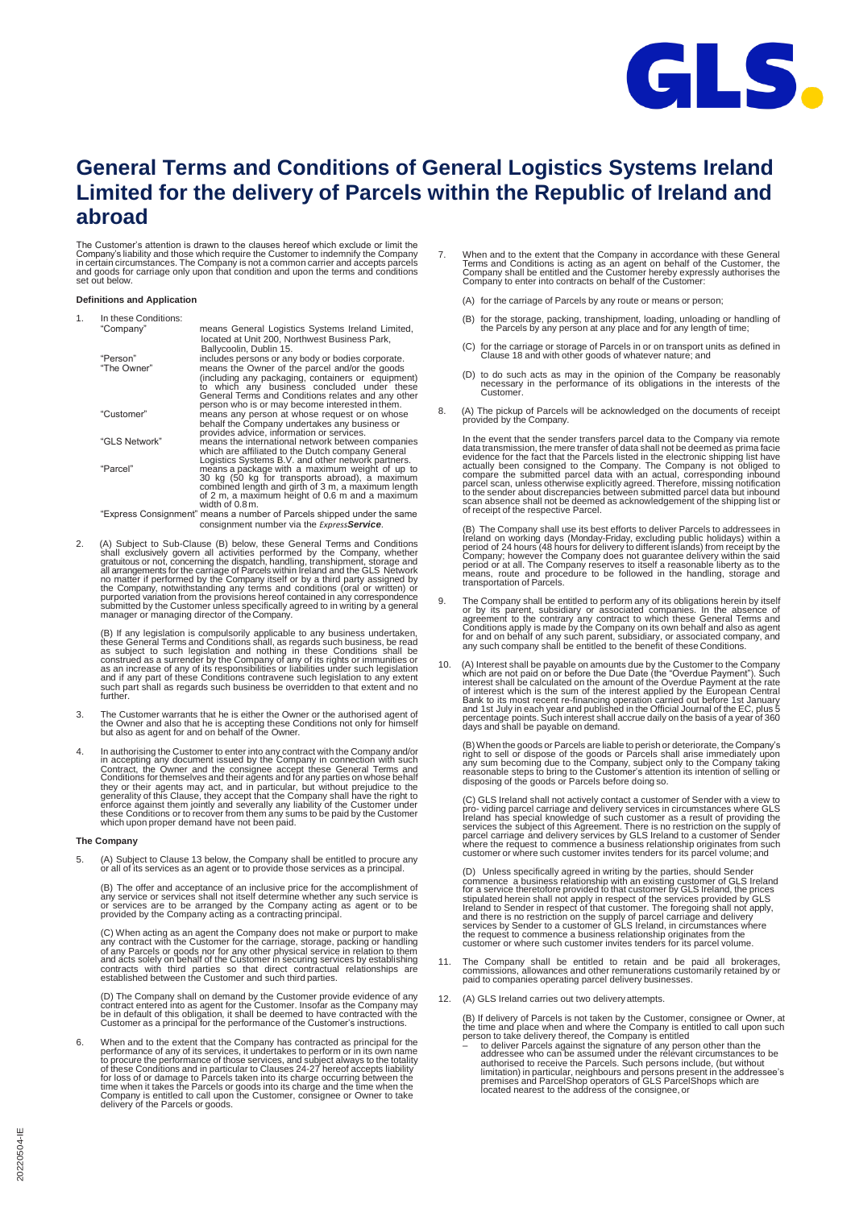

# **General Terms and Conditions of General Logistics Systems Ireland Limited for the delivery of Parcels within the Republic of Ireland and abroad**

The Customer's attention is drawn to the clauses hereof which exclude or limit the<br>Company's liability and those which require the Customer to indemnity the Company<br>in certain circumstances. The Company is not a common car set out below.

#### **Definitions and Application** 1. In these Conditions:

| In these Conditions: |                                                                                                                                                                                                                                                              |
|----------------------|--------------------------------------------------------------------------------------------------------------------------------------------------------------------------------------------------------------------------------------------------------------|
| "Company"            | means General Logistics Systems Ireland Limited,<br>located at Unit 200. Northwest Business Park.<br>Ballycoolin, Dublin 15.                                                                                                                                 |
| "Person"             | includes persons or any body or bodies corporate.                                                                                                                                                                                                            |
| "The Owner"          | means the Owner of the parcel and/or the goods<br>(including any packaging, containers or equipment)<br>to which any business concluded under these<br>General Terms and Conditions relates and any other<br>person who is or may become interested in them. |
| "Customer"           | means any person at whose request or on whose<br>behalf the Company undertakes any business or<br>provides advice, information or services.                                                                                                                  |
| "GLS Network"        | means the international network between companies<br>which are affiliated to the Dutch company General<br>Logistics Systems B.V. and other network partners.                                                                                                 |
| "Parcel"             | means a package with a maximum weight of up to<br>30 kg (50 kg for transports abroad), a maximum<br>combined length and girth of 3 m, a maximum length<br>of 2 m, a maximum height of 0.6 m and a maximum<br>width of 0.8 m.                                 |
|                      | "Express Consignment" means a number of Parcels shipped under the same                                                                                                                                                                                       |
|                      | consignment number via the Express Service.                                                                                                                                                                                                                  |

2. (A) Subject to Sub-Clause (B) below, these General Terms and Conditions shall exclusively govern all activities performed by the Company, whether gratuitous or not, concerning the dispatch, handling, transhipment, storage and all arangements for the carriage of Parcels within Ireland and the G manager or managing director of theCompany.

(B) If any legislation is compulsorily applicable to any business undertaken, these General Terms as subject to such legislation and nothing in these Conditions shall be as a subject to such legislation and nothing in thes

- 3. The Customer warrants that he is either the Owner or the authorised agent of the Owner and also that he is accepting these Conditions not only for himself but also as agent for and on behalf of the Owner.
- 4. In authorising the Customer to enter into any contract with the Company and/or<br>in accepting any document issued by the Company in connection with such<br>Contract, the Owner and the consignee accept these General Terms and which upon proper demand have not been paid.

# **The Company**

5. (A) Subject to Clause 13 below, the Company shall be entitled to procure any or all of its services as an agent or to provide those services as a principal.

(B) The offer and acceptance of an inclusive price for the accomplishment of any service or services shall not itself determine whether any such service is or services are to be arranged by the Company acting as agent or t

(C) When acting as an agent the Company does not make or purport to make any contract with the Customer for the carriage, storage, packing or handling of any Parcels or goods nor for any other physical service in relation

(D) The Company shall on demand by the Customer provide evidence of any<br>contract entered into as agent for the Customer. Insofar as the Company may<br>be in default of this obligation, it shall be deemed to have contracted wi

6. When and to the extent that the Company has contracted as principal for the<br>performance of any of its services, it undertakes to perform or in its own name<br>to procure the performance of those services, and subject alway of these Conditions and in particular to Clauses 24-27 hereof accepts liability<br>for loss of or damage to Parcels taken into its charge occurring between the<br>time when it takes the Parcels or goods into its charge and the t

- 7. When and to the extent that the Company in accordance with these General Terms and Conditions is acting as an agent on behalf of the Customer, the Company shall be entitled and the Customer hereby expressly authorises t
	- (A) for the carriage of Parcels by any route or means or person;
	- (B) for the storage, packing, transhipment, loading, unloading or handling of the Parcels by any person at any place and for any length of time;
	- (C) for the carriage or storage of Parcels in or on transport units as defined in Clause 18 and with other goods of whatever nature; and
	- (D) to do such acts as may in the opinion of the Company be reasonably necessary in the performance of its obligations in the interests of the Customer.
- 8. (A) The pickup of Parcels will be acknowledged on the documents of receipt provided by the Company.

In the event that the sender transfers parcel data to the Company via remote<br>data transmission, the mere transfer of data shall not be deemed as prima facie<br>evidence for the fact that the Parcels listed in the electronic s

(B) The Company shall use its best efforts to deliver Parcels to addressees in freland on working days (Monday-Friday, excluding public holidays) within a period of 24 hours (48 hours for delivery to different islands) fro transportation of Parcels.

- 9. The Company shall be entitled to perform any of its obligations herein by itself or by its parent, subsidiary or associated companies. In the absence of agreement to the contrary any contract to which these General Term
- 10. (A) Interest shall be payable on amounts due by the Customer to the Company<br>which are not paid on or before the Due Date (the "Overdue Payment"). Such<br>interest shall be calculated on the amount of the Overdue Payment a of interest which is the sum of the interest applied by the European Central<br>Bank to its most recent re-financing operation carried out before 1st January<br>and 1st July in each year and published in the Official Journal of days and shall be payable on demand.

(B) When the goods or Parcels are liable to perish or deteriorate, the Company's<br>right to sell or dispose of the goods or Parcels shall arise immediately upon<br>any sum becoming due to the Company, subject only to the Compan

(C) GLS Ireland shall not actively contact a customer of Sender with a view to<br>pro- viding parcel carriage and delivery services in circumstances where GLS<br>Ireland has special knowledge of such customer as a result of prov

(D) Unless specifically agreed in writing by the parties, should Sender<br>commence a business relationship with an existing customer of GLS Ireland<br>for a service theretofore provided to that customer by GLS Ireland, the pric stipulated herein shall not apply in respect of the services provided by GLS<br>Ireland to Sender in respect of that customer. The foregoing shall not apply,<br>and there is no restriction on the supply of parcel carriage and de

- 11. The Company shall be entitled to retain and be paid all brokerages, commissions, allowances and other remunerations customarily retained by or paid to companies operating parcel delivery businesses.
- (A) GLS Ireland carries out two delivery attempts.

(B) If delivery of Parcels is not taken by the Customer, consignee or Owner, at the time and place when and where the Company is entitled to call upon such person to take delivery thereof, the Company is entitled<br>the strat

limitation) in particular, neighbours and persons present in the addressee's premises and ParcelShop operators of GLS ParcelShops which are located nearest to the address of the consignee, or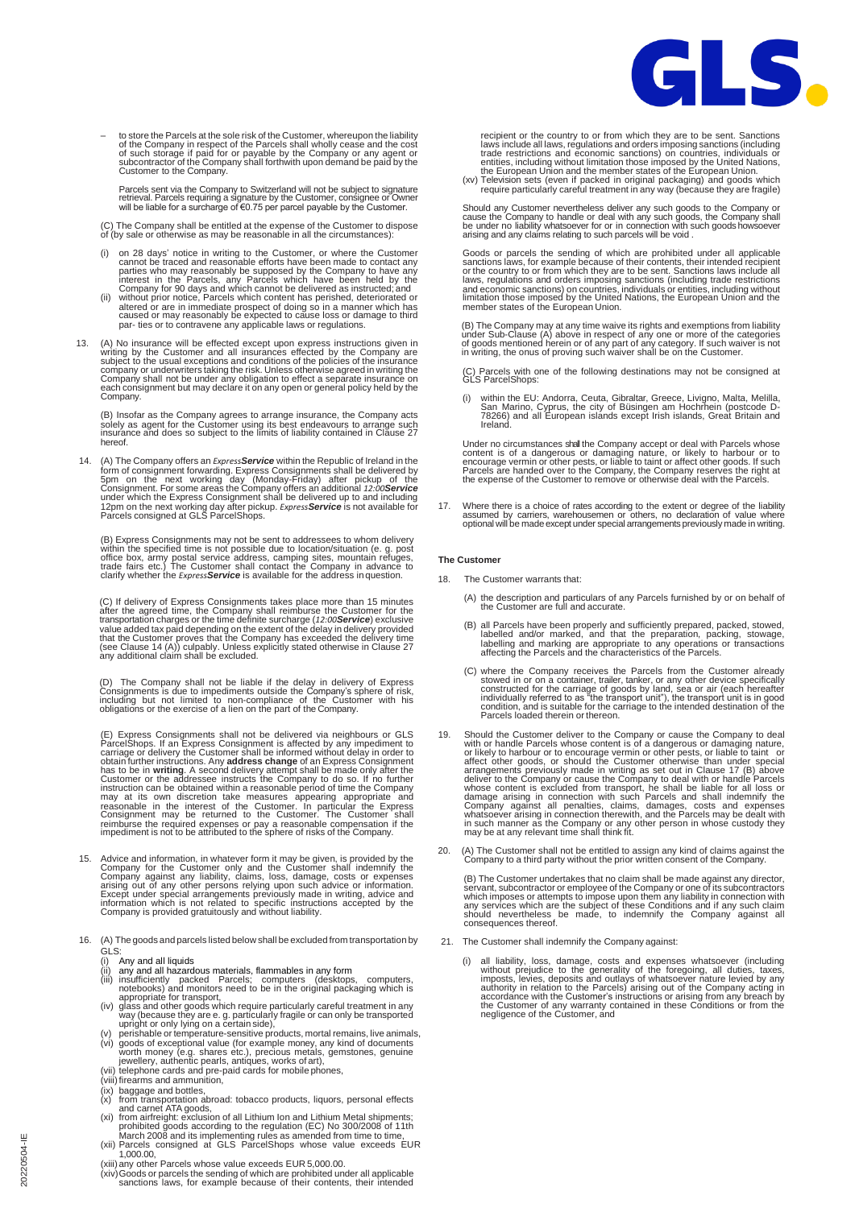

- to store the Parcels at the sole risk of the Customer, whereupon the liability of the Company in respect of the Parcels shall wholly cease and the cost of such storage if paid for or payable by the Company or any agent o

Parcels sent via the Company to Switzerland will not be subject to signature<br>retrieval. Parcels requring a signature by the Customer, consignee or Owner<br>will be liable for a surcharge of €0.75 per parcel payable by the Cus

(C) The Company shall be entitled at the expense of the Customer to dispose of (by sale or otherwise as may be reasonable in all the circumstances):

- (i) on 28 days' notice in writing to the Customer, or where the Customer cannot be traced and reasonable efforts have been made to contact any interest in the Parcels, any Parcels which have been held by the Company to ha
- 
- 13. (A) No insurance will be effected except upon express instructions given in writing by the Customer and all insurances effected by the Company are subject to the usual exceptions and conditions of the policies of the i each consignment but may declare it on any open or general policy held by the Company.

(B) Insofar as the Company agrees to arrange insurance, the Company acts solely as agent for the Customer using its best endeavours to arrange such insurance and does so subject to the limits of liability contained in Clause 27 hereof.

14. (A) The Company offers an *Express* **Service** within the Republic of Ireland in the form of consignment forwarding. Express Consignments shall be delivered by 5pm on the next working day (Monday-Friday) after pickup of

(B) Express Consignments may not be sent to addressees to whom delivery<br>within the specified time is not possible due to location/situation (e. g. post<br>office box, army postal service address, camping sites, mountain refug

(C) If delivery of Express Consignments takes place more than 15 minutes after the agreed time, the Company shall reimburse the Customer for the transportation charges or the time definite surcharge (12:00 Service) exclusi

(D) The Company shall not be liable if the delay in delivery of Express Consignments is due to impediments outside the Company's sphere of risk, including but not limited to non-compliance of the Customer with his obligati

(E) Express Consignments shall not be delivered via neighbours or GLS<br>ParcelShops. If an Express Consignment is affected by any impediment to<br>carriage or delivery the Customer shall be informed without delay in order to<br>ob

- 15. Advice and information, in whatever form it may be given, is provided by the Company for the Customer only and the Customer shall indemnify the Company against any liability, claims, loss, damage, costs or expenses ari
- 16. (A) The goods and parcels listed below shall be excluded from transportation by
	-
	-
	-
	-
	- GLS:<br>
	(ii) Any and all liquids<br>
	(ii) any and all hazardous materials, flammables in any form<br>
	(iii) insufficiently packed Parcels; computers (desktops, computers,<br>
	(iii) insufficiently packed Parcels; computers (desktops,
	-
	-
	-
	-
	- (ix) baggage and bottles,<br>
	(x) from transportation abroad: tobacco products, liquors, personal effects<br>
	and carnet ATA goods,<br>
	(xi) from airfreight: exclusion of all Lithium lon and Lithium Metal shipments;<br>
	(xi) from air
	- 1,000.00,
	- (xiii)any other Parcels whose value exceeds EUR 5,000.00.
	- (xiv)Goods or parcels the sending of which are prohibited under all applicable sanctions laws, for example because of their contents, their intended

recipient or the country to or from which they are to be sent. Sanctions<br>laws include all laws, regulations and orders imposing sanctions (including<br>trade restrictions and economic sanctions) on countries, individuals or<br>e

Should any Customer nevertheless deliver any such goods to the Company or<br>cause the Company to handle or deal with any such goods, the Company shall<br>be under no liability whatsoever for or in connection with such goods how

Goods or parcels the sending of which are prohibited under all applicable<br>sanctions laws, for example because of their contents, their intended recipient<br>or the country to or from which they are to be sent. Sanctions laws

(B) The Company may at any time waive its rights and exemptions from liability<br>under Sub-Clause (A) above in respect of any one or more of the categories<br>of goods mentioned herein or of any part of any category. If such wa

(C) Parcels with one of the following destinations may not be consigned at GLS ParcelShops:

(i) within the EU: Andorra, Ceuta, Gibraltar, Greece, Livigno, Malta, Melilla, San Marino, Cyprus, the city of Büsingen am Hochrhein (postcode D-78266) and all European islands except Irish islands, Great Britain and Ireland.

Under no circumstances shall the Company accept or deal with Parcels whose<br>content is of a dangerous or damaging nature, or likely to harbour or to<br>encourage vermin or other pests, or liable to taint or affect other goods.

17. Where there is a choice of rates according to the extent or degree of the liability<br>assumed by carriers, warehousemen or others, no declaration of value where<br>optional will be made except under special arrangements pre

### **The Customer**

- 18. The Customer warrants that:
	- (A) the description and particulars of any Parcels furnished by or on behalf of the Customer are full and accurate.
	- (B) all Parcels have been properly and sufficiently prepared, packed, stowed, labelled and/or marked, and that the preparation, packing, stowage, labelling and marking are appropriate to any operations or transactions affe
	- (C) where the Company receives the Parcels from the Customer already<br>stowed in or on a container, trailer, tanker, or any other device specifically<br>constructed for the carriage of goods by land, sea or air (each hereafter<br> Parcels loaded therein or thereon.
- 19. Should the Customer deliver to the Company or cause the Company to deal<br>with or handle Parcels whose content is of a dangerous or dikely to harbour or to encourage vermin or other pests, or liable to taint or<br>affect ot
- 20. (A) The Customer shall not be entitled to assign any kind of claims against the Company to a third party without the prior written consent of the Company.

(B) The Customer undertakes that no claim shall be made against any director, servant, subcontractor or employee of the Company or one of its subcontractors which imposes or attempts to impose upon them any liability in co

- 21. The Customer shall indemnify the Company against:
	- (i) all liability, loss, damage, costs and expenses whatsoever (including without prejudice to the generality of the foregoing, all duties, taxes, enjoposts, levies, deposits and outlays of whatsoever nature levied by any